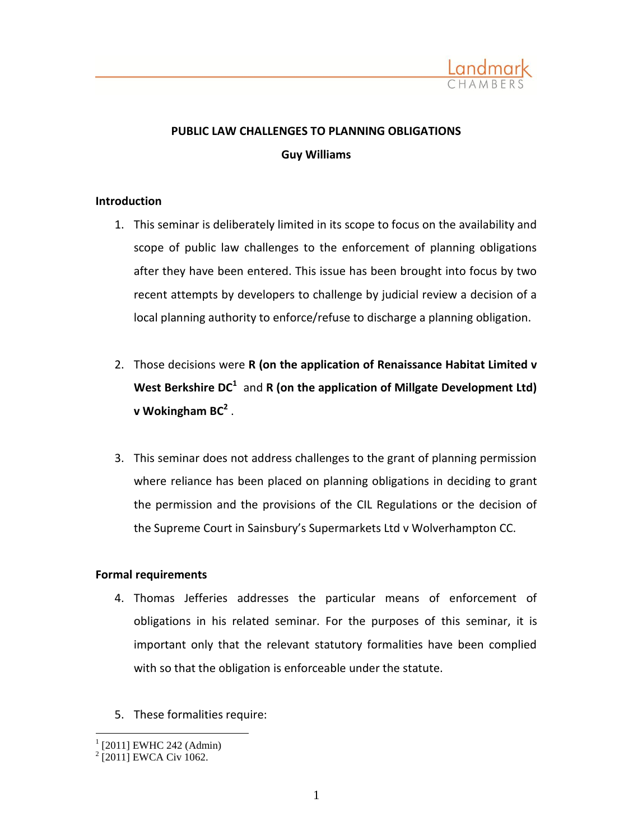

# **PUBLIC LAW CHALLENGES TO PLANNING OBLIGATIONS Guy Williams**

## **Introduction**

- 1. This seminar is deliberately limited in its scope to focus on the availability and scope of public law challenges to the enforcement of planning obligations after they have been entered. This issue has been brought into focus by two recent attempts by developers to challenge by judicial review a decision of a local planning authority to enforce/refuse to discharge a planning obligation.
- 2. Those decisions were **R (on the application of Renaissance Habitat Limited v**  West Berkshire DC<sup>1</sup> and R (on the application of Millgate Development Ltd) **v Wokingham BC<sup>2</sup>** .
- 3. This seminar does not address challenges to the grant of planning permission where reliance has been placed on planning obligations in deciding to grant the permission and the provisions of the CIL Regulations or the decision of the Supreme Court in Sainsbury's Supermarkets Ltd v Wolverhampton CC.

# **Formal requirements**

- 4. Thomas Jefferies addresses the particular means of enforcement of obligations in his related seminar. For the purposes of this seminar, it is important only that the relevant statutory formalities have been complied with so that the obligation is enforceable under the statute.
- 5. These formalities require:

 $\overline{a}$ 1 [2011] EWHC 242 (Admin)

<sup>&</sup>lt;sup>2</sup> [2011] EWCA Civ 1062.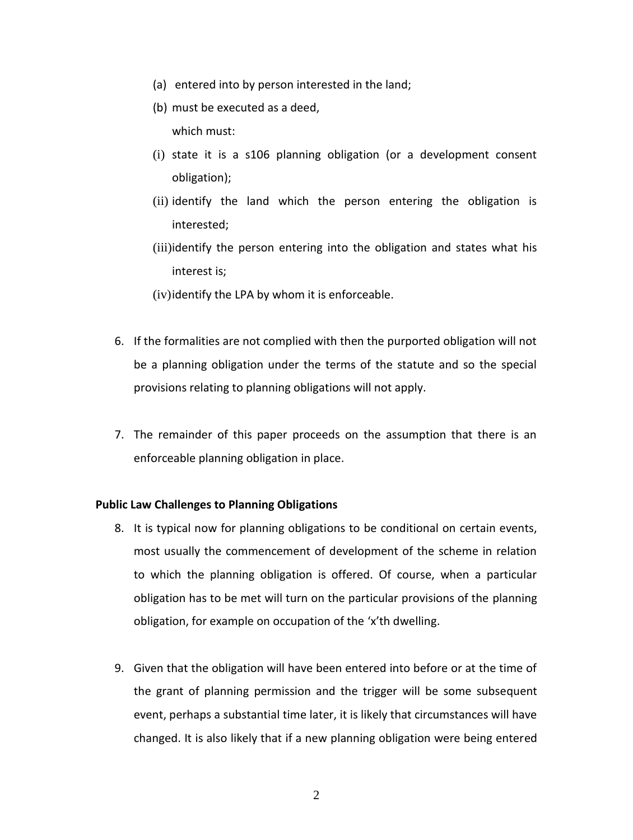- (a) entered into by person interested in the land;
- (b) must be executed as a deed, which must:
- (i) state it is a s106 planning obligation (or a development consent obligation);
- (ii) identify the land which the person entering the obligation is interested;
- (iii)identify the person entering into the obligation and states what his interest is;
- (iv)identify the LPA by whom it is enforceable.
- 6. If the formalities are not complied with then the purported obligation will not be a planning obligation under the terms of the statute and so the special provisions relating to planning obligations will not apply.
- 7. The remainder of this paper proceeds on the assumption that there is an enforceable planning obligation in place.

# **Public Law Challenges to Planning Obligations**

- 8. It is typical now for planning obligations to be conditional on certain events, most usually the commencement of development of the scheme in relation to which the planning obligation is offered. Of course, when a particular obligation has to be met will turn on the particular provisions of the planning obligation, for example on occupation of the 'x'th dwelling.
- 9. Given that the obligation will have been entered into before or at the time of the grant of planning permission and the trigger will be some subsequent event, perhaps a substantial time later, it is likely that circumstances will have changed. It is also likely that if a new planning obligation were being entered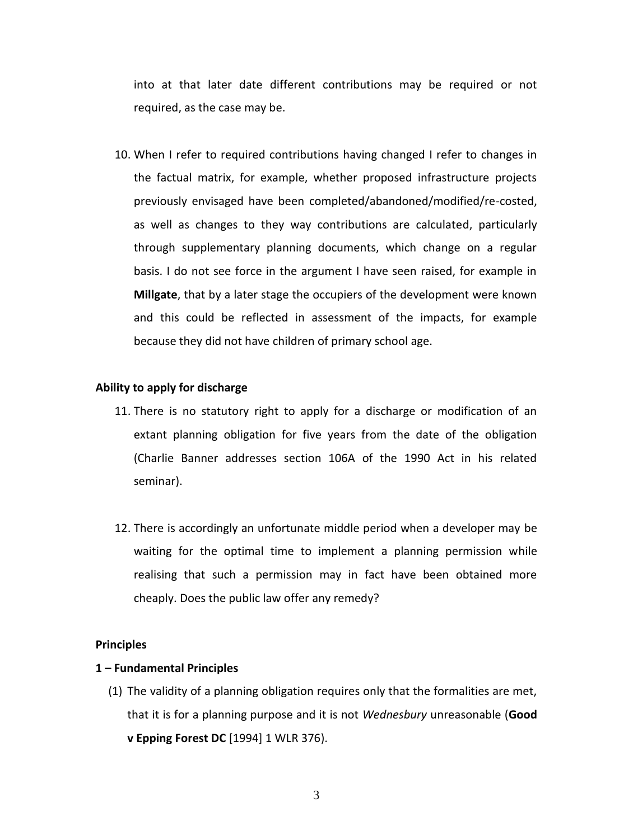into at that later date different contributions may be required or not required, as the case may be.

10. When I refer to required contributions having changed I refer to changes in the factual matrix, for example, whether proposed infrastructure projects previously envisaged have been completed/abandoned/modified/re-costed, as well as changes to they way contributions are calculated, particularly through supplementary planning documents, which change on a regular basis. I do not see force in the argument I have seen raised, for example in **Millgate**, that by a later stage the occupiers of the development were known and this could be reflected in assessment of the impacts, for example because they did not have children of primary school age.

#### **Ability to apply for discharge**

- 11. There is no statutory right to apply for a discharge or modification of an extant planning obligation for five years from the date of the obligation (Charlie Banner addresses section 106A of the 1990 Act in his related seminar).
- 12. There is accordingly an unfortunate middle period when a developer may be waiting for the optimal time to implement a planning permission while realising that such a permission may in fact have been obtained more cheaply. Does the public law offer any remedy?

#### **Principles**

## **1 – Fundamental Principles**

(1) The validity of a planning obligation requires only that the formalities are met, that it is for a planning purpose and it is not *Wednesbury* unreasonable (**Good v Epping Forest DC** [1994] 1 WLR 376).

3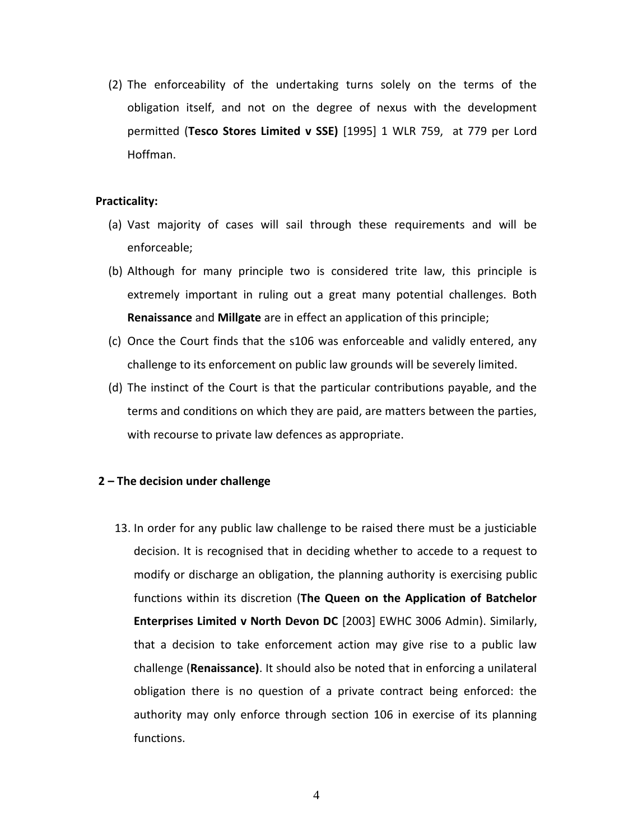(2) The enforceability of the undertaking turns solely on the terms of the obligation itself, and not on the degree of nexus with the development permitted (**Tesco Stores Limited v SSE)** [1995] 1 WLR 759, at 779 per Lord Hoffman.

#### **Practicality:**

- (a) Vast majority of cases will sail through these requirements and will be enforceable;
- (b) Although for many principle two is considered trite law, this principle is extremely important in ruling out a great many potential challenges. Both **Renaissance** and **Millgate** are in effect an application of this principle;
- (c) Once the Court finds that the s106 was enforceable and validly entered, any challenge to its enforcement on public law grounds will be severely limited.
- (d) The instinct of the Court is that the particular contributions payable, and the terms and conditions on which they are paid, are matters between the parties, with recourse to private law defences as appropriate.

## **2 – The decision under challenge**

13. In order for any public law challenge to be raised there must be a justiciable decision. It is recognised that in deciding whether to accede to a request to modify or discharge an obligation, the planning authority is exercising public functions within its discretion (**The Queen on the Application of Batchelor Enterprises Limited v North Devon DC** [2003] EWHC 3006 Admin). Similarly, that a decision to take enforcement action may give rise to a public law challenge (**Renaissance)**. It should also be noted that in enforcing a unilateral obligation there is no question of a private contract being enforced: the authority may only enforce through section 106 in exercise of its planning functions.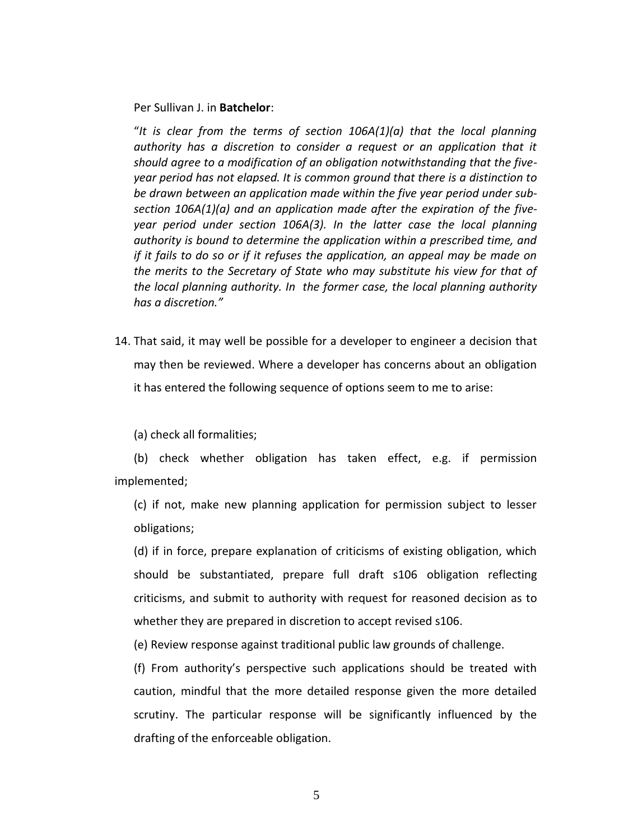Per Sullivan J. in **Batchelor**:

"*It is clear from the terms of section 106A(1)(a) that the local planning*  authority has a discretion to consider a request or an application that it *should agree to a modification of an obligation notwithstanding that the fiveyear period has not elapsed. It is common ground that there is a distinction to be drawn between an application made within the five year period under subsection 106A(1)(a) and an application made after the expiration of the fiveyear period under section 106A(3). In the latter case the local planning authority is bound to determine the application within a prescribed time, and if it fails to do so or if it refuses the application, an appeal may be made on the merits to the Secretary of State who may substitute his view for that of the local planning authority. In the former case, the local planning authority has a discretion."*

14. That said, it may well be possible for a developer to engineer a decision that may then be reviewed. Where a developer has concerns about an obligation it has entered the following sequence of options seem to me to arise:

(a) check all formalities;

(b) check whether obligation has taken effect, e.g. if permission implemented;

(c) if not, make new planning application for permission subject to lesser obligations;

(d) if in force, prepare explanation of criticisms of existing obligation, which should be substantiated, prepare full draft s106 obligation reflecting criticisms, and submit to authority with request for reasoned decision as to whether they are prepared in discretion to accept revised s106.

(e) Review response against traditional public law grounds of challenge.

(f) From authority's perspective such applications should be treated with caution, mindful that the more detailed response given the more detailed scrutiny. The particular response will be significantly influenced by the drafting of the enforceable obligation.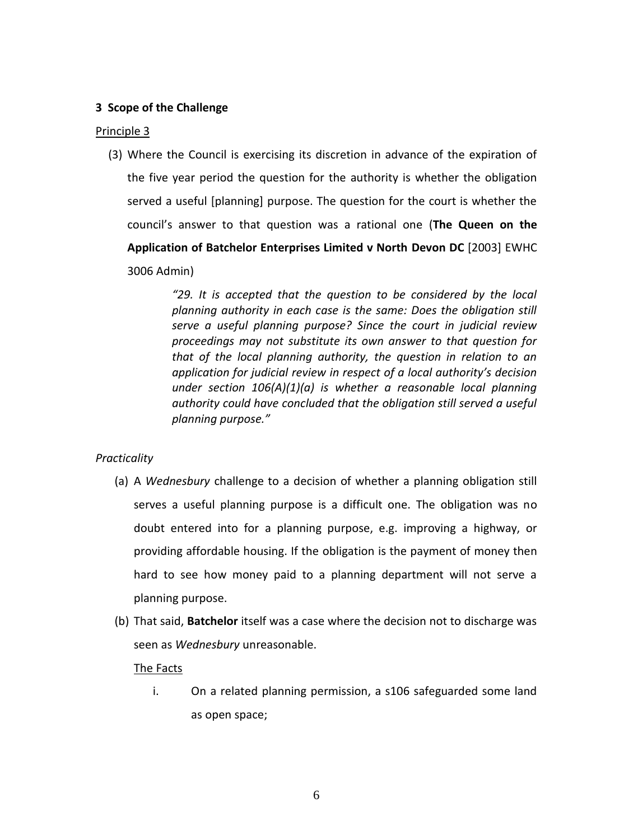# **3 Scope of the Challenge**

# Principle 3

(3) Where the Council is exercising its discretion in advance of the expiration of the five year period the question for the authority is whether the obligation served a useful [planning] purpose. The question for the court is whether the council's answer to that question was a rational one (**The Queen on the Application of Batchelor Enterprises Limited v North Devon DC** [2003] EWHC 3006 Admin)

> *"29. It is accepted that the question to be considered by the local planning authority in each case is the same: Does the obligation still serve a useful planning purpose? Since the court in judicial review proceedings may not substitute its own answer to that question for that of the local planning authority, the question in relation to an application for judicial review in respect of a local authority's decision under section 106(A)(1)(a) is whether a reasonable local planning authority could have concluded that the obligation still served a useful planning purpose."*

# *Practicality*

- (a) A *Wednesbury* challenge to a decision of whether a planning obligation still serves a useful planning purpose is a difficult one. The obligation was no doubt entered into for a planning purpose, e.g. improving a highway, or providing affordable housing. If the obligation is the payment of money then hard to see how money paid to a planning department will not serve a planning purpose.
- (b) That said, **Batchelor** itself was a case where the decision not to discharge was seen as *Wednesbury* unreasonable.

## The Facts

i. On a related planning permission, a s106 safeguarded some land as open space;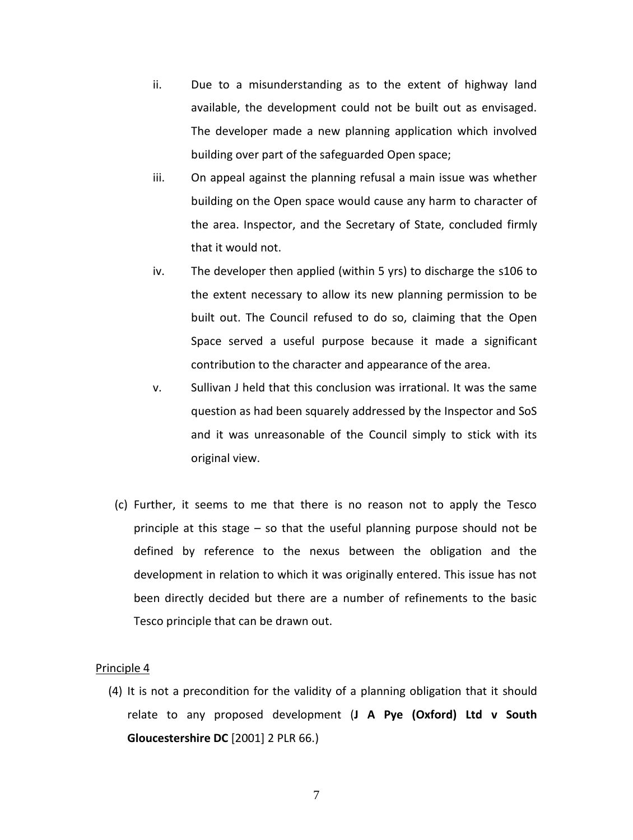- ii. Due to a misunderstanding as to the extent of highway land available, the development could not be built out as envisaged. The developer made a new planning application which involved building over part of the safeguarded Open space;
- iii. On appeal against the planning refusal a main issue was whether building on the Open space would cause any harm to character of the area. Inspector, and the Secretary of State, concluded firmly that it would not.
- iv. The developer then applied (within 5 yrs) to discharge the s106 to the extent necessary to allow its new planning permission to be built out. The Council refused to do so, claiming that the Open Space served a useful purpose because it made a significant contribution to the character and appearance of the area.
- v. Sullivan J held that this conclusion was irrational. It was the same question as had been squarely addressed by the Inspector and SoS and it was unreasonable of the Council simply to stick with its original view.
- (c) Further, it seems to me that there is no reason not to apply the Tesco principle at this stage – so that the useful planning purpose should not be defined by reference to the nexus between the obligation and the development in relation to which it was originally entered. This issue has not been directly decided but there are a number of refinements to the basic Tesco principle that can be drawn out.

#### Principle 4

(4) It is not a precondition for the validity of a planning obligation that it should relate to any proposed development (**J A Pye (Oxford) Ltd v South Gloucestershire DC** [2001] 2 PLR 66.)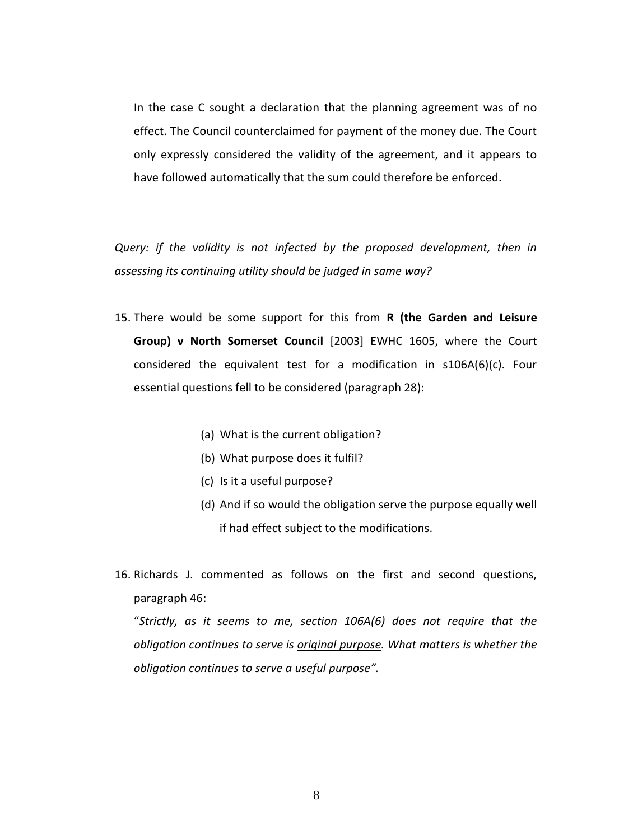In the case C sought a declaration that the planning agreement was of no effect. The Council counterclaimed for payment of the money due. The Court only expressly considered the validity of the agreement, and it appears to have followed automatically that the sum could therefore be enforced.

*Query: if the validity is not infected by the proposed development, then in assessing its continuing utility should be judged in same way?*

- 15. There would be some support for this from **R (the Garden and Leisure Group) v North Somerset Council** [2003] EWHC 1605, where the Court considered the equivalent test for a modification in s106A(6)(c). Four essential questions fell to be considered (paragraph 28):
	- (a) What is the current obligation?
	- (b) What purpose does it fulfil?
	- (c) Is it a useful purpose?
	- (d) And if so would the obligation serve the purpose equally well if had effect subject to the modifications.
- 16. Richards J. commented as follows on the first and second questions, paragraph 46:

"*Strictly, as it seems to me, section 106A(6) does not require that the obligation continues to serve is original purpose. What matters is whether the obligation continues to serve a useful purpose".*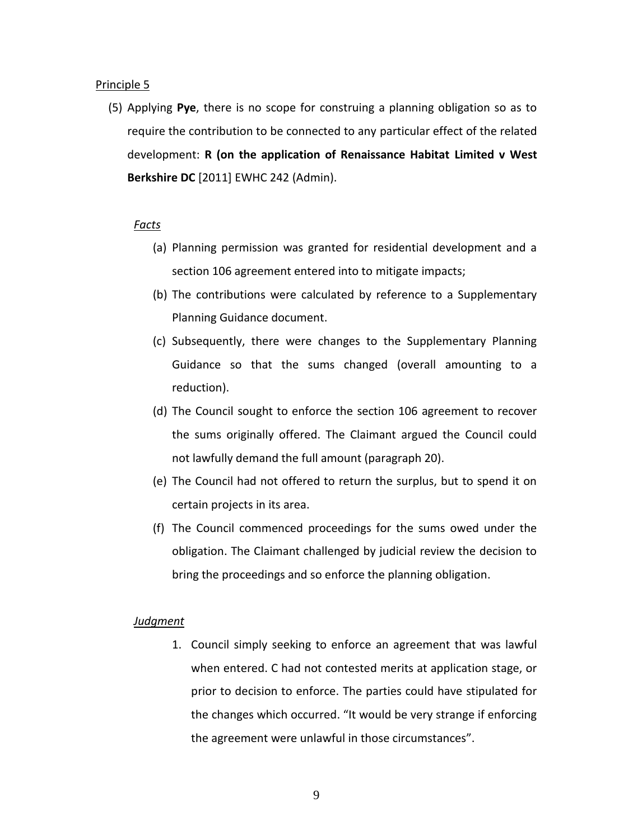#### Principle 5

(5) Applying **Pye**, there is no scope for construing a planning obligation so as to require the contribution to be connected to any particular effect of the related development: **R (on the application of Renaissance Habitat Limited v West Berkshire DC** [2011] EWHC 242 (Admin).

## *Facts*

- (a) Planning permission was granted for residential development and a section 106 agreement entered into to mitigate impacts;
- (b) The contributions were calculated by reference to a Supplementary Planning Guidance document.
- (c) Subsequently, there were changes to the Supplementary Planning Guidance so that the sums changed (overall amounting to a reduction).
- (d) The Council sought to enforce the section 106 agreement to recover the sums originally offered. The Claimant argued the Council could not lawfully demand the full amount (paragraph 20).
- (e) The Council had not offered to return the surplus, but to spend it on certain projects in its area.
- (f) The Council commenced proceedings for the sums owed under the obligation. The Claimant challenged by judicial review the decision to bring the proceedings and so enforce the planning obligation.

## *Judgment*

1. Council simply seeking to enforce an agreement that was lawful when entered. C had not contested merits at application stage, or prior to decision to enforce. The parties could have stipulated for the changes which occurred. "It would be very strange if enforcing the agreement were unlawful in those circumstances".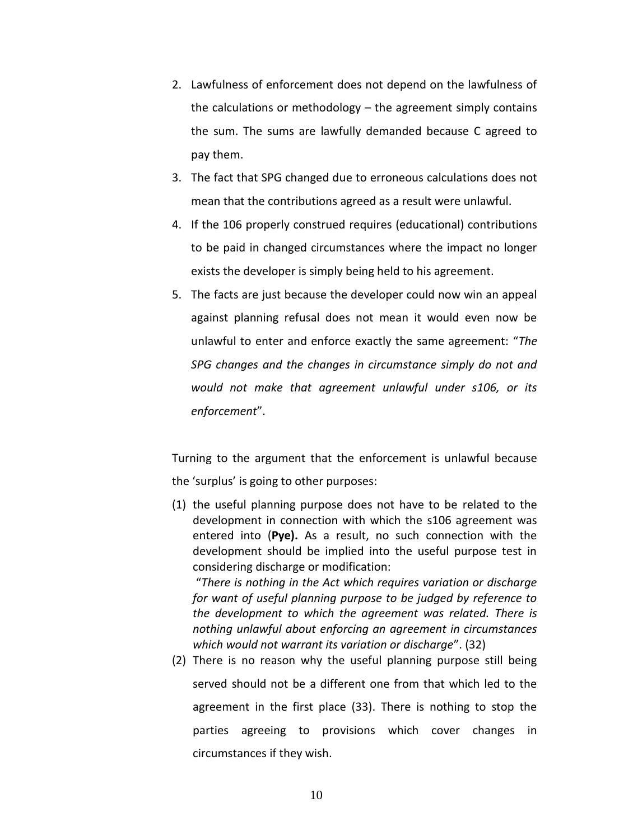- 2. Lawfulness of enforcement does not depend on the lawfulness of the calculations or methodology – the agreement simply contains the sum. The sums are lawfully demanded because C agreed to pay them.
- 3. The fact that SPG changed due to erroneous calculations does not mean that the contributions agreed as a result were unlawful.
- 4. If the 106 properly construed requires (educational) contributions to be paid in changed circumstances where the impact no longer exists the developer is simply being held to his agreement.
- 5. The facts are just because the developer could now win an appeal against planning refusal does not mean it would even now be unlawful to enter and enforce exactly the same agreement: "*The SPG changes and the changes in circumstance simply do not and would not make that agreement unlawful under s106, or its enforcement*".

Turning to the argument that the enforcement is unlawful because the 'surplus' is going to other purposes:

(1) the useful planning purpose does not have to be related to the development in connection with which the s106 agreement was entered into (**Pye).** As a result, no such connection with the development should be implied into the useful purpose test in considering discharge or modification:

"*There is nothing in the Act which requires variation or discharge for want of useful planning purpose to be judged by reference to the development to which the agreement was related. There is nothing unlawful about enforcing an agreement in circumstances which would not warrant its variation or discharge*". (32)

(2) There is no reason why the useful planning purpose still being served should not be a different one from that which led to the agreement in the first place (33). There is nothing to stop the parties agreeing to provisions which cover changes in circumstances if they wish.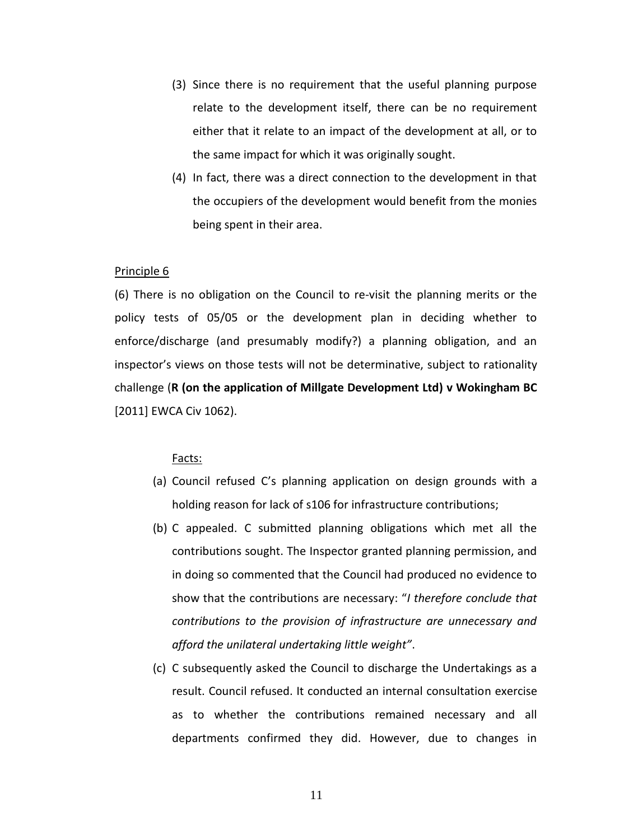- (3) Since there is no requirement that the useful planning purpose relate to the development itself, there can be no requirement either that it relate to an impact of the development at all, or to the same impact for which it was originally sought.
- (4) In fact, there was a direct connection to the development in that the occupiers of the development would benefit from the monies being spent in their area.

#### Principle 6

(6) There is no obligation on the Council to re-visit the planning merits or the policy tests of 05/05 or the development plan in deciding whether to enforce/discharge (and presumably modify?) a planning obligation, and an inspector's views on those tests will not be determinative, subject to rationality challenge (**R (on the application of Millgate Development Ltd) v Wokingham BC**  [2011] EWCA Civ 1062).

#### Facts:

- (a) Council refused C's planning application on design grounds with a holding reason for lack of s106 for infrastructure contributions;
- (b) C appealed. C submitted planning obligations which met all the contributions sought. The Inspector granted planning permission, and in doing so commented that the Council had produced no evidence to show that the contributions are necessary: "*I therefore conclude that contributions to the provision of infrastructure are unnecessary and afford the unilateral undertaking little weight"*.
- (c) C subsequently asked the Council to discharge the Undertakings as a result. Council refused. It conducted an internal consultation exercise as to whether the contributions remained necessary and all departments confirmed they did. However, due to changes in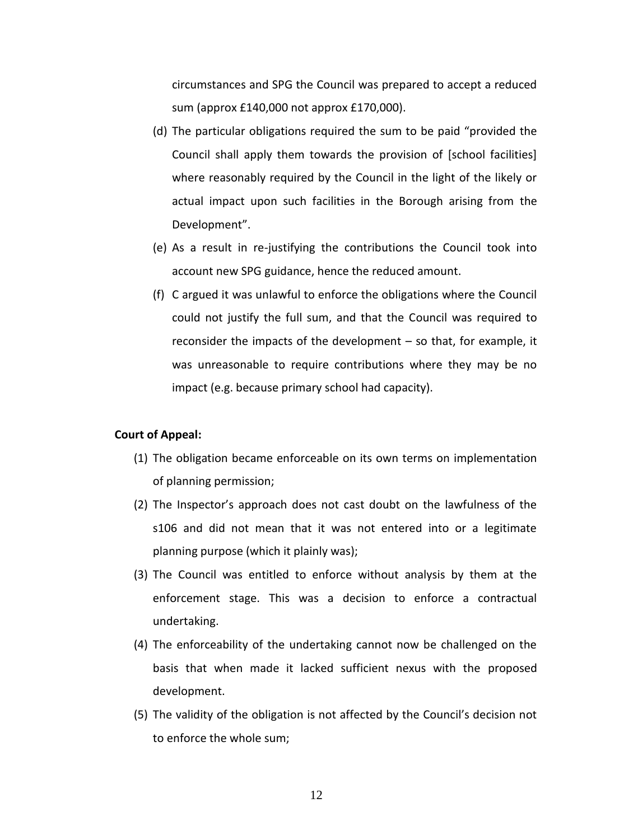circumstances and SPG the Council was prepared to accept a reduced sum (approx £140,000 not approx £170,000).

- (d) The particular obligations required the sum to be paid "provided the Council shall apply them towards the provision of [school facilities] where reasonably required by the Council in the light of the likely or actual impact upon such facilities in the Borough arising from the Development".
- (e) As a result in re-justifying the contributions the Council took into account new SPG guidance, hence the reduced amount.
- (f) C argued it was unlawful to enforce the obligations where the Council could not justify the full sum, and that the Council was required to reconsider the impacts of the development – so that, for example, it was unreasonable to require contributions where they may be no impact (e.g. because primary school had capacity).

## **Court of Appeal:**

- (1) The obligation became enforceable on its own terms on implementation of planning permission;
- (2) The Inspector's approach does not cast doubt on the lawfulness of the s106 and did not mean that it was not entered into or a legitimate planning purpose (which it plainly was);
- (3) The Council was entitled to enforce without analysis by them at the enforcement stage. This was a decision to enforce a contractual undertaking.
- (4) The enforceability of the undertaking cannot now be challenged on the basis that when made it lacked sufficient nexus with the proposed development.
- (5) The validity of the obligation is not affected by the Council's decision not to enforce the whole sum;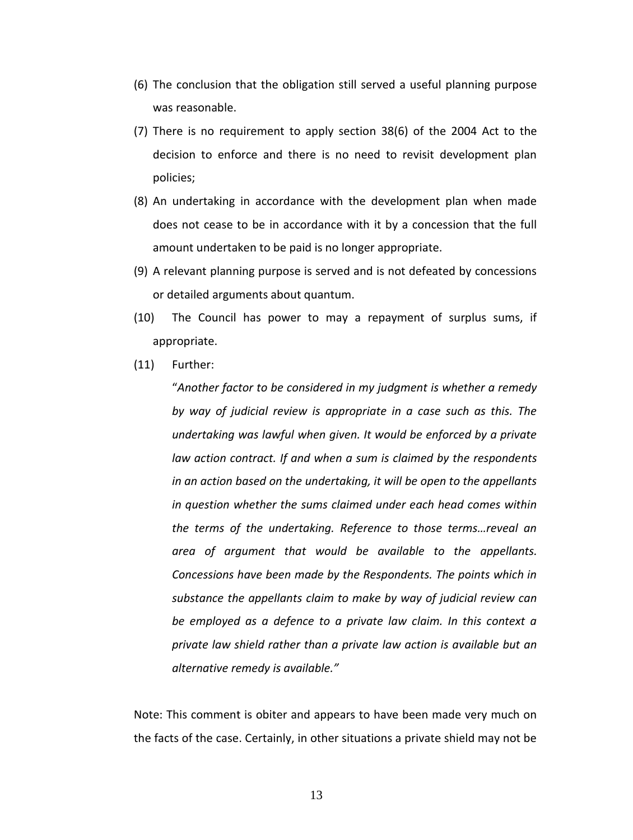- (6) The conclusion that the obligation still served a useful planning purpose was reasonable.
- (7) There is no requirement to apply section 38(6) of the 2004 Act to the decision to enforce and there is no need to revisit development plan policies;
- (8) An undertaking in accordance with the development plan when made does not cease to be in accordance with it by a concession that the full amount undertaken to be paid is no longer appropriate.
- (9) A relevant planning purpose is served and is not defeated by concessions or detailed arguments about quantum.
- (10) The Council has power to may a repayment of surplus sums, if appropriate.
- (11) Further:

"*Another factor to be considered in my judgment is whether a remedy by way of judicial review is appropriate in a case such as this. The undertaking was lawful when given. It would be enforced by a private law action contract. If and when a sum is claimed by the respondents in an action based on the undertaking, it will be open to the appellants in question whether the sums claimed under each head comes within the terms of the undertaking. Reference to those terms…reveal an area of argument that would be available to the appellants. Concessions have been made by the Respondents. The points which in substance the appellants claim to make by way of judicial review can be employed as a defence to a private law claim. In this context a private law shield rather than a private law action is available but an alternative remedy is available."*

Note: This comment is obiter and appears to have been made very much on the facts of the case. Certainly, in other situations a private shield may not be

13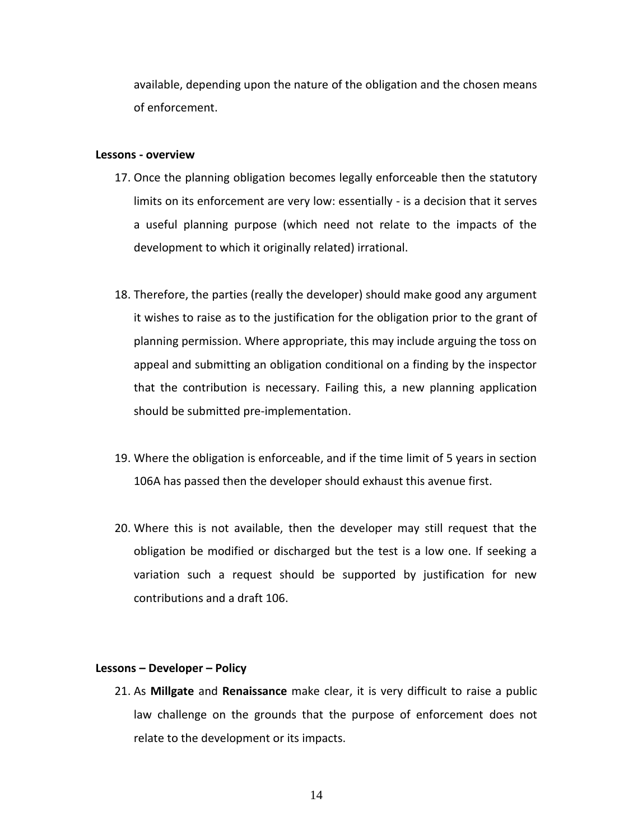available, depending upon the nature of the obligation and the chosen means of enforcement.

#### **Lessons - overview**

- 17. Once the planning obligation becomes legally enforceable then the statutory limits on its enforcement are very low: essentially - is a decision that it serves a useful planning purpose (which need not relate to the impacts of the development to which it originally related) irrational.
- 18. Therefore, the parties (really the developer) should make good any argument it wishes to raise as to the justification for the obligation prior to the grant of planning permission. Where appropriate, this may include arguing the toss on appeal and submitting an obligation conditional on a finding by the inspector that the contribution is necessary. Failing this, a new planning application should be submitted pre-implementation.
- 19. Where the obligation is enforceable, and if the time limit of 5 years in section 106A has passed then the developer should exhaust this avenue first.
- 20. Where this is not available, then the developer may still request that the obligation be modified or discharged but the test is a low one. If seeking a variation such a request should be supported by justification for new contributions and a draft 106.

#### **Lessons – Developer – Policy**

21. As **Millgate** and **Renaissance** make clear, it is very difficult to raise a public law challenge on the grounds that the purpose of enforcement does not relate to the development or its impacts.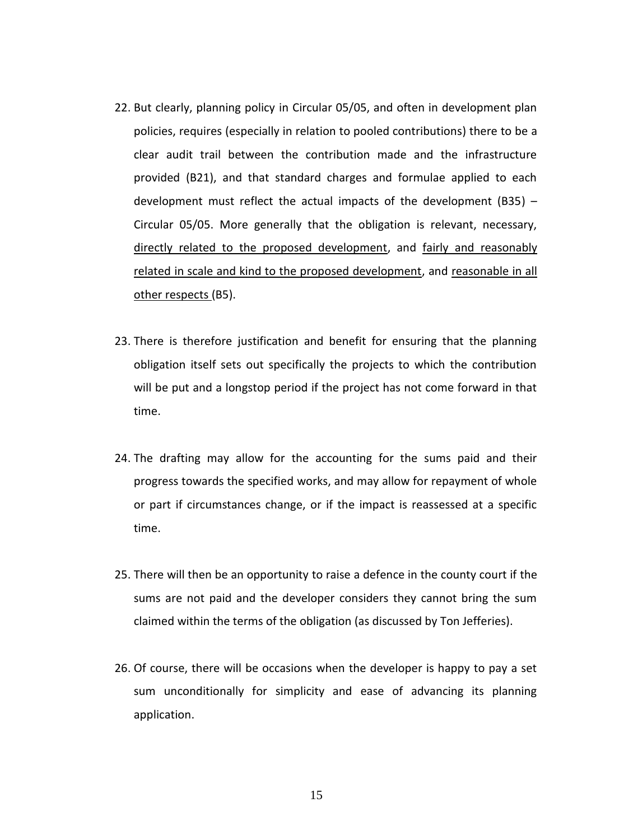- 22. But clearly, planning policy in Circular 05/05, and often in development plan policies, requires (especially in relation to pooled contributions) there to be a clear audit trail between the contribution made and the infrastructure provided (B21), and that standard charges and formulae applied to each development must reflect the actual impacts of the development (B35) – Circular 05/05. More generally that the obligation is relevant, necessary, directly related to the proposed development, and fairly and reasonably related in scale and kind to the proposed development, and reasonable in all other respects (B5).
- 23. There is therefore justification and benefit for ensuring that the planning obligation itself sets out specifically the projects to which the contribution will be put and a longstop period if the project has not come forward in that time.
- 24. The drafting may allow for the accounting for the sums paid and their progress towards the specified works, and may allow for repayment of whole or part if circumstances change, or if the impact is reassessed at a specific time.
- 25. There will then be an opportunity to raise a defence in the county court if the sums are not paid and the developer considers they cannot bring the sum claimed within the terms of the obligation (as discussed by Ton Jefferies).
- 26. Of course, there will be occasions when the developer is happy to pay a set sum unconditionally for simplicity and ease of advancing its planning application.